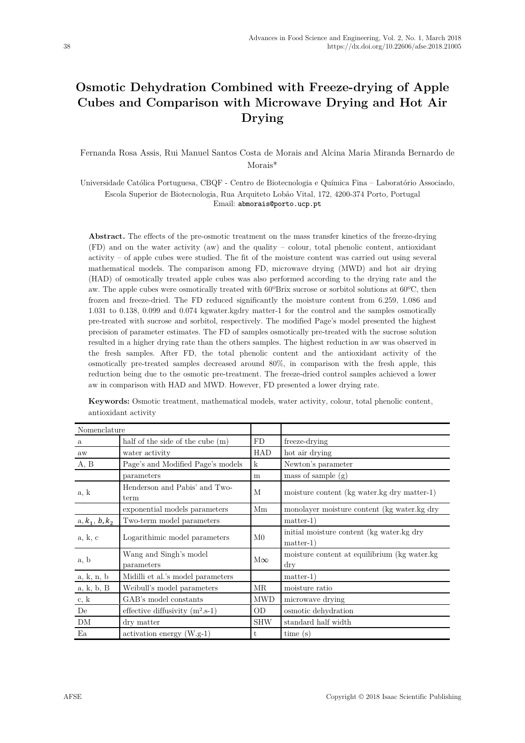# **Osmotic Dehydration Combined with Freeze-drying of Apple Cubes and Comparison with Microwave Drying and Hot Air Drying**

Fernanda Rosa Assis, Rui Manuel Santos Costa de Morais and Alcina Maria Miranda Bernardo de Morais\*

Universidade Católica Portuguesa, CBQF - Centro de Biotecnologia e Química Fina – Laboratório Associado, Escola Superior de Biotecnologia, Rua Arquiteto Lobão Vital, 172, 4200-374 Porto, Portugal Email: abmorais@porto.ucp.pt

**Abstract.** The effects of the pre-osmotic treatment on the mass transfer kinetics of the freeze-drying (FD) and on the water activity (aw) and the quality – colour, total phenolic content, antioxidant activity – of apple cubes were studied. The fit of the moisture content was carried out using several mathematical models. The comparison among FD, microwave drying (MWD) and hot air drying (HAD) of osmotically treated apple cubes was also performed according to the drying rate and the aw. The apple cubes were osmotically treated with 60ºBrix sucrose or sorbitol solutions at 60ºC, then frozen and freeze-dried. The FD reduced significantly the moisture content from 6.259, 1.086 and 1.031 to 0.138, 0.099 and 0.074 kgwater.kgdry matter-1 for the control and the samples osmotically pre-treated with sucrose and sorbitol, respectively. The modified Page's model presented the highest precision of parameter estimates. The FD of samples osmotically pre-treated with the sucrose solution resulted in a higher drying rate than the others samples. The highest reduction in aw was observed in the fresh samples. After FD, the total phenolic content and the antioxidant activity of the osmotically pre-treated samples decreased around 80%, in comparison with the fresh apple, this reduction being due to the osmotic pre-treatment. The freeze-dried control samples achieved a lower aw in comparison with HAD and MWD. However, FD presented a lower drying rate.

| Nomenclature     |                                       |                |                                                             |  |  |  |
|------------------|---------------------------------------|----------------|-------------------------------------------------------------|--|--|--|
| $\mathbf{a}$     | half of the side of the cube (m)      | FD             | freeze-drying                                               |  |  |  |
| aw               | water activity                        | HAD            | hot air drying                                              |  |  |  |
| A, B             | Page's and Modified Page's models     | $\mathbf{k}$   | Newton's parameter                                          |  |  |  |
|                  | parameters                            | m              | mass of sample $(g)$                                        |  |  |  |
| a, k             | Henderson and Pabis' and Two-<br>term |                | moisture content (kg water.kg dry matter-1)                 |  |  |  |
|                  | exponential models parameters         | Mm             | monolayer moisture content (kg water.kg dry                 |  |  |  |
| $a, k_1, b, k_2$ | Two-term model parameters             |                | $matter-1)$                                                 |  |  |  |
| a, k, c          | Logarithimic model parameters         | M <sub>0</sub> | initial moisture content (kg water.kg dry<br>$matter-1)$    |  |  |  |
| a, b             | Wang and Singh's model<br>parameters  | $M\infty$      | moisture content at equilibrium (kg water.kg)<br>$\rm{dry}$ |  |  |  |
| a, k, n, b       | Midilli et al.'s model parameters     |                | $matter-1)$                                                 |  |  |  |
| a, k, b, B       | Weibull's model parameters            | MR             | moisture ratio                                              |  |  |  |
| c, k             | GAB's model constants                 | <b>MWD</b>     | microwave drying                                            |  |  |  |
| De               | effective diffusivity $(m^2.s-1)$     | <b>OD</b>      | osmotic dehydration                                         |  |  |  |
| DM               | dry matter                            | <b>SHW</b>     | standard half width                                         |  |  |  |
| Ea               | $\arctivation$ energy (W.g-1)         | t              | time(s)                                                     |  |  |  |

**Keywords:** Osmotic treatment, mathematical models, water activity, colour, total phenolic content, antioxidant activity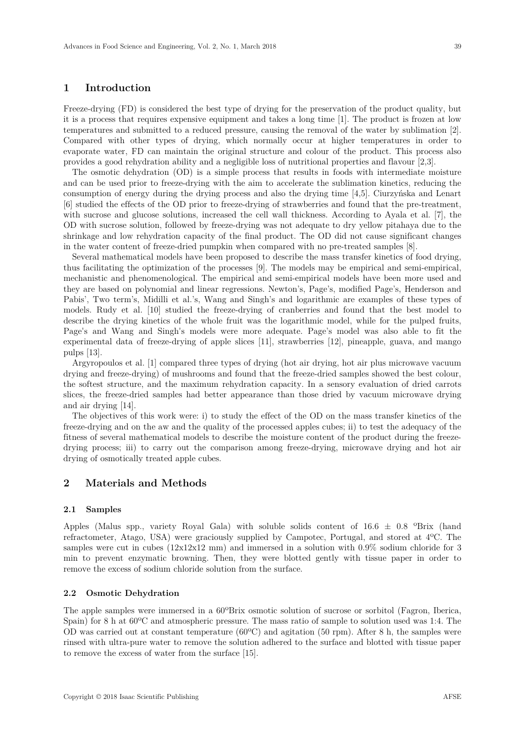# **1 Introduction**

Freeze-drying (FD) is considered the best type of drying for the preservation of the product quality, but it is a process that requires expensive equipment and takes a long time [1]. The product is frozen at low temperatures and submitted to a reduced pressure, causing the removal of the water by sublimation [2]. Compared with other types of drying, which normally occur at higher temperatures in order to evaporate water, FD can maintain the original structure and colour of the product. This process also provides a good rehydration ability and a negligible loss of nutritional properties and flavour [2,3].

The osmotic dehydration (OD) is a simple process that results in foods with intermediate moisture and can be used prior to freeze-drying with the aim to accelerate the sublimation kinetics, reducing the consumption of energy during the drying process and also the drying time [4,5]. Ciurzyńska and Lenart [6] studied the effects of the OD prior to freeze-drying of strawberries and found that the pre-treatment, with sucrose and glucose solutions, increased the cell wall thickness. According to Ayala et al. [7], the OD with sucrose solution, followed by freeze-drying was not adequate to dry yellow pitahaya due to the shrinkage and low rehydration capacity of the final product. The OD did not cause significant changes in the water content of freeze-dried pumpkin when compared with no pre-treated samples [8].

Several mathematical models have been proposed to describe the mass transfer kinetics of food drying, thus facilitating the optimization of the processes [9]. The models may be empirical and semi-empirical, mechanistic and phenomenological. The empirical and semi-empirical models have been more used and they are based on polynomial and linear regressions. Newton's, Page's, modified Page's, Henderson and Pabis', Two term's, Midilli et al.'s, Wang and Singh's and logarithmic are examples of these types of models. Rudy et al. [10] studied the freeze-drying of cranberries and found that the best model to describe the drying kinetics of the whole fruit was the logarithmic model, while for the pulped fruits, Page's and Wang and Singh's models were more adequate. Page's model was also able to fit the experimental data of freeze-drying of apple slices [11], strawberries [12], pineapple, guava, and mango pulps [13].

Argyropoulos et al. [1] compared three types of drying (hot air drying, hot air plus microwave vacuum drying and freeze-drying) of mushrooms and found that the freeze-dried samples showed the best colour, the softest structure, and the maximum rehydration capacity. In a sensory evaluation of dried carrots slices, the freeze-dried samples had better appearance than those dried by vacuum microwave drying and air drying [14].

The objectives of this work were: i) to study the effect of the OD on the mass transfer kinetics of the freeze-drying and on the aw and the quality of the processed apples cubes; ii) to test the adequacy of the fitness of several mathematical models to describe the moisture content of the product during the freezedrying process; iii) to carry out the comparison among freeze-drying, microwave drying and hot air drying of osmotically treated apple cubes.

# **2 Materials and Methods**

#### **2.1 Samples**

Apples (Malus spp., variety Royal Gala) with soluble solids content of  $16.6 \pm 0.8$  °Brix (hand refractometer, Atago, USA) were graciously supplied by Campotec, Portugal, and stored at 4ºC. The samples were cut in cubes (12x12x12 mm) and immersed in a solution with 0.9% sodium chloride for 3 min to prevent enzymatic browning. Then, they were blotted gently with tissue paper in order to remove the excess of sodium chloride solution from the surface.

## **2.2 Osmotic Dehydration**

The apple samples were immersed in a 60ºBrix osmotic solution of sucrose or sorbitol (Fagron, Iberica, Spain) for 8 h at 60ºC and atmospheric pressure. The mass ratio of sample to solution used was 1:4. The OD was carried out at constant temperature (60ºC) and agitation (50 rpm). After 8 h, the samples were rinsed with ultra-pure water to remove the solution adhered to the surface and blotted with tissue paper to remove the excess of water from the surface [15].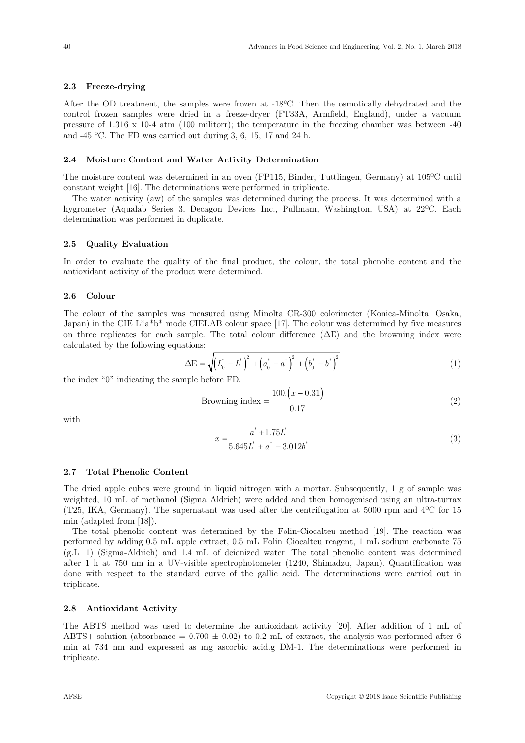## **2.3 Freeze-drying**

After the OD treatment, the samples were frozen at -18ºC. Then the osmotically dehydrated and the control frozen samples were dried in a freeze-dryer (FT33A, Armfield, England), under a vacuum pressure of 1.316 x 10-4 atm (100 militorr); the temperature in the freezing chamber was between -40 and -45 ºC. The FD was carried out during 3, 6, 15, 17 and 24 h.

## **2.4 Moisture Content and Water Activity Determination**

The moisture content was determined in an oven (FP115, Binder, Tuttlingen, Germany) at 105ºC until constant weight [16]. The determinations were performed in triplicate.

The water activity (aw) of the samples was determined during the process. It was determined with a hygrometer (Aqualab Series 3, Decagon Devices Inc., Pullmam, Washington, USA) at 22ºC. Each determination was performed in duplicate.

#### **2.5 Quality Evaluation**

In order to evaluate the quality of the final product, the colour, the total phenolic content and the antioxidant activity of the product were determined.

## **2.6 Colour**

The colour of the samples was measured using Minolta CR-300 colorimeter (Konica-Minolta, Osaka, Japan) in the CIE  $L^*a^*b^*$  mode CIELAB colour space [17]. The colour was determined by five measures on three replicates for each sample. The total colour difference  $(\Delta E)$  and the browning index were calculated by the following equations:

$$
\Delta E = \sqrt{\left(L_0^* - L^*\right)^2 + \left(a_0^* - a^*\right)^2 + \left(b_0^* - b^*\right)^2} \tag{1}
$$

the index "0" indicating the sample before FD.

$$
Browning index = \frac{100 \cdot (x - 0.31)}{0.17}
$$
\n
$$
(2)
$$

with

$$
x = \frac{a^* + 1.75L^*}{5.645L^* + a^* - 3.012b^*}
$$
 (3)

#### **2.7 Total Phenolic Content**

The dried apple cubes were ground in liquid nitrogen with a mortar. Subsequently, 1 g of sample was weighted, 10 mL of methanol (Sigma Aldrich) were added and then homogenised using an ultra-turrax (T25, IKA, Germany). The supernatant was used after the centrifugation at 5000 rpm and 4ºC for 15 min (adapted from [18]). The total phenolic content was determined by the Folin-Ciocalteu method [19]. The reaction was

performed by adding 0.5 mL apple extract, 0.5 mL Folin–Ciocalteu reagent, 1 mL sodium carbonate 75 (g.L−1) (Sigma-Aldrich) and 1.4 mL of deionized water. The total phenolic content was determined after 1 h at 750 nm in a UV-visible spectrophotometer (1240, Shimadzu, Japan). Quantification was done with respect to the standard curve of the gallic acid. The determinations were carried out in triplicate.

#### **2.8 Antioxidant Activity**

The ABTS method was used to determine the antioxidant activity [20]. After addition of 1 mL of ABTS+ solution (absorbance =  $0.700 \pm 0.02$ ) to  $0.2$  mL of extract, the analysis was performed after 6 min at 734 nm and expressed as mg ascorbic acid.g DM-1. The determinations were performed in triplicate.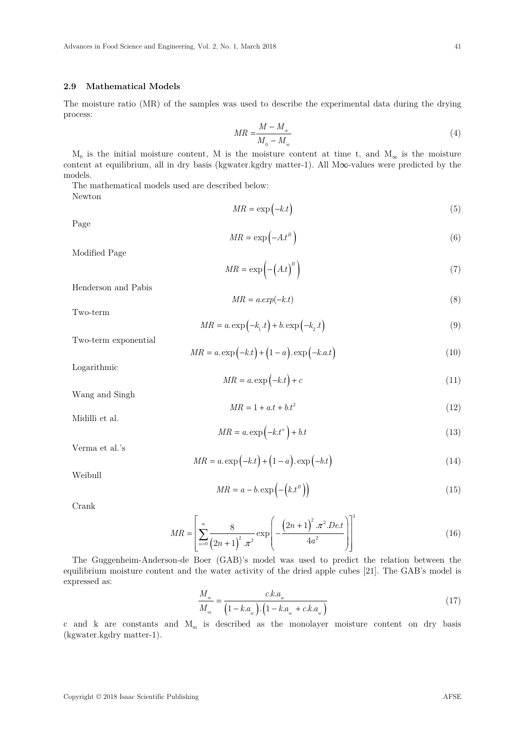## **2.9 Mathematical Models**

The moisture ratio (MR) of the samples was used to describe the experimental data during the drying process:

$$
MR = \frac{M - M_{\infty}}{M_{0} - M_{\infty}} \tag{4}
$$

 $M_0$  is the initial moisture content, M is the moisture content at time t, and  $M_\infty$  is the moisture content at equilibrium, all in dry basis (kgwater.kgdry matter-1). All M∞-values were predicted by the models.

The mathematical models used are described below: Newton

$$
MR = \exp(-k \cdot t) \tag{5}
$$

Page

$$
MR = \exp\left(-At^B\right) \tag{6}
$$

Modified Page

$$
MR = \exp\left(-\left(A.t\right)^B\right) \tag{7}
$$

Henderson and Pabis

$$
MR = a.exp(-k.t)
$$
\n<sup>(8)</sup>

Two-term

$$
MR = a \exp\left(-k_1 \cdot t\right) + b \exp\left(-k_2 \cdot t\right) \tag{9}
$$

Two-term exponential

$$
MR = a.\exp(-k.t) + (1 - a). \exp(-k.a.t)
$$
\n(10)

Logarithmic

$$
MR = a \exp(-k \cdot t) + c \tag{11}
$$

Wang and Singh

$$
MR = 1 + a.t + bt^2 \tag{12}
$$

Midilli et al.

$$
MR = a \exp\left(-k \cdot t^n\right) + b \cdot t \tag{13}
$$

Verma et al.'s

$$
MR = a.\exp(-k.t) + (1 - a).\exp(-b.t)
$$
\n(14)

Weibull

$$
MR = a - b \exp\left(-\left(k \cdot t^B\right)\right) \tag{15}
$$

Crank

$$
MR = \left[ \sum_{n=0}^{\infty} \frac{8}{\left(2n+1\right)^2 \cdot \pi^2} \exp\left(-\frac{\left(2n+1\right)^2 \cdot \pi^2 \cdot Det}{4a^2}\right) \right]^3 \tag{16}
$$

The Guggenheim-Anderson-de Boer (GAB)'s model was used to predict the relation between the equilibrium moisture content and the water activity of the dried apple cubes [21]. The GAB's model is expressed as:

$$
\frac{M_{\infty}}{M_{m}} = \frac{c.k.a_w}{\left(1 - k.a_w\right) \cdot \left(1 - k.a_w + c.k.a_w\right)}\tag{17}
$$

c and k are constants and  $M_m$  is described as the monolayer moisture content on dry basis (kgwater.kgdry matter-1).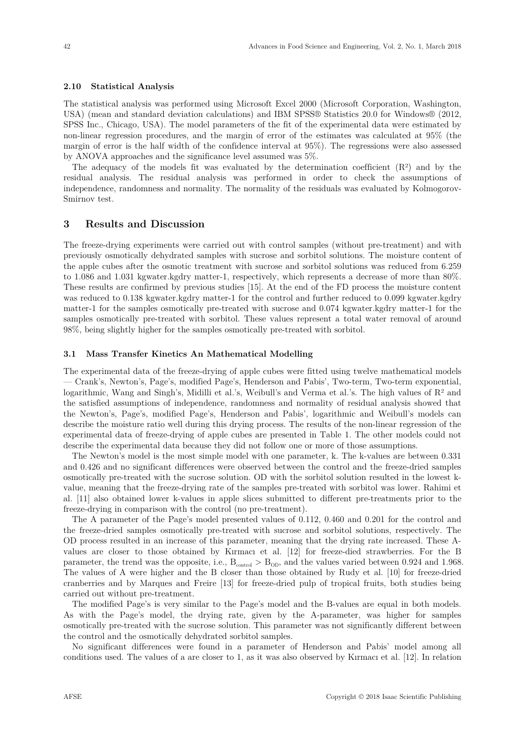#### **2.10 Statistical Analysis**

The statistical analysis was performed using Microsoft Excel 2000 (Microsoft Corporation, Washington, USA) (mean and standard deviation calculations) and IBM SPSS® Statistics 20.0 for Windows® (2012, SPSS Inc., Chicago, USA). The model parameters of the fit of the experimental data were estimated by non-linear regression procedures, and the margin of error of the estimates was calculated at 95% (the margin of error is the half width of the confidence interval at 95%). The regressions were also assessed by ANOVA approaches and the significance level assumed was 5%.

The adequacy of the models fit was evaluated by the determination coefficient  $(R<sup>2</sup>)$  and by the residual analysis. The residual analysis was performed in order to check the assumptions of independence, randomness and normality. The normality of the residuals was evaluated by Kolmogorov-Smirnov test.

# **3 Results and Discussion**

The freeze-drying experiments were carried out with control samples (without pre-treatment) and with previously osmotically dehydrated samples with sucrose and sorbitol solutions. The moisture content of the apple cubes after the osmotic treatment with sucrose and sorbitol solutions was reduced from 6.259 to 1.086 and 1.031 kgwater.kgdry matter-1, respectively, which represents a decrease of more than 80%. These results are confirmed by previous studies [15]. At the end of the FD process the moisture content was reduced to 0.138 kgwater.kgdry matter-1 for the control and further reduced to 0.099 kgwater.kgdry matter-1 for the samples osmotically pre-treated with sucrose and 0.074 kgwater.kgdry matter-1 for the samples osmotically pre-treated with sorbitol. These values represent a total water removal of around 98%, being slightly higher for the samples osmotically pre-treated with sorbitol.

### **3.1 Mass Transfer Kinetics An Mathematical Modelling**

The experimental data of the freeze-drying of apple cubes were fitted using twelve mathematical models — Crank's, Newton's, Page's, modified Page's, Henderson and Pabis', Two-term, Two-term exponential, logarithmic, Wang and Singh's, Midilli et al.'s, Weibull's and Verma et al.'s. The high values of  $\mathbb{R}^2$  and the satisfied assumptions of independence, randomness and normality of residual analysis showed that the Newton's, Page's, modified Page's, Henderson and Pabis', logarithmic and Weibull's models can describe the moisture ratio well during this drying process. The results of the non-linear regression of the experimental data of freeze-drying of apple cubes are presented in Table 1. The other models could not describe the experimental data because they did not follow one or more of those assumptions.

The Newton's model is the most simple model with one parameter, k. The k-values are between 0.331 and 0.426 and no significant differences were observed between the control and the freeze-dried samples osmotically pre-treated with the sucrose solution. OD with the sorbitol solution resulted in the lowest kvalue, meaning that the freeze-drying rate of the samples pre-treated with sorbitol was lower. Rahimi et al. [11] also obtained lower k-values in apple slices submitted to different pre-treatments prior to the freeze-drying in comparison with the control (no pre-treatment).

The A parameter of the Page's model presented values of 0.112, 0.460 and 0.201 for the control and the freeze-dried samples osmotically pre-treated with sucrose and sorbitol solutions, respectively. The OD process resulted in an increase of this parameter, meaning that the drying rate increased. These Avalues are closer to those obtained by Kırmacı et al. [12] for freeze-died strawberries. For the B parameter, the trend was the opposite, i.e.,  $B_{\text{control}} > B_{\text{OD}}$ , and the values varied between 0.924 and 1.968. The values of A were higher and the B closer than those obtained by Rudy et al. [10] for freeze-dried cranberries and by Marques and Freire [13] for freeze-dried pulp of tropical fruits, both studies being carried out without pre-treatment.

The modified Page's is very similar to the Page's model and the B-values are equal in both models. As with the Page's model, the drying rate, given by the A-parameter, was higher for samples osmotically pre-treated with the sucrose solution. This parameter was not significantly different between the control and the osmotically dehydrated sorbitol samples.

No significant differences were found in a parameter of Henderson and Pabis' model among all conditions used. The values of a are closer to 1, as it was also observed by Kırmacı et al. [12]. In relation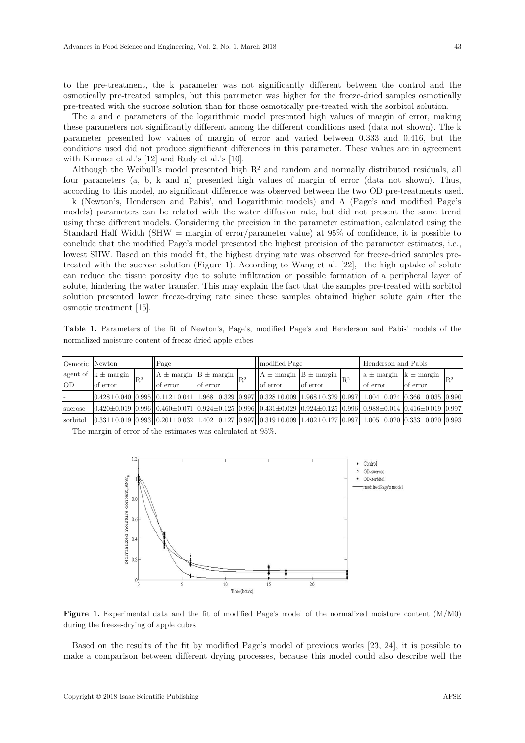to the pre-treatment, the k parameter was not significantly different between the control and the osmotically pre-treated samples, but this parameter was higher for the freeze-dried samples osmotically pre-treated with the sucrose solution than for those osmotically pre-treated with the sorbitol solution.

The a and c parameters of the logarithmic model presented high values of margin of error, making these parameters not significantly different among the different conditions used (data not shown). The k parameter presented low values of margin of error and varied between 0.333 and 0.416, but the conditions used did not produce significant differences in this parameter. These values are in agreement with Kırmacı et al.'s [12] and Rudy et al.'s [10].

Although the Weibull's model presented high  $R<sup>2</sup>$  and random and normally distributed residuals, all four parameters (a, b, k and n) presented high values of margin of error (data not shown). Thus, according to this model, no significant difference was observed between the two OD pre-treatments used.

k (Newton's, Henderson and Pabis', and Logarithmic models) and A (Page's and modified Page's models) parameters can be related with the water diffusion rate, but did not present the same trend using these different models. Considering the precision in the parameter estimation, calculated using the Standard Half Width (SHW = margin of error/parameter value) at 95% of confidence, it is possible to conclude that the modified Page's model presented the highest precision of the parameter estimates, i.e., lowest SHW. Based on this model fit, the highest drying rate was observed for freeze-dried samples pretreated with the sucrose solution (Figure 1). According to Wang et al. [22], the high uptake of solute can reduce the tissue porosity due to solute infiltration or possible formation of a peripheral layer of solute, hindering the water transfer. This may explain the fact that the samples pre-treated with sorbitol solution presented lower freeze-drying rate since these samples obtained higher solute gain after the osmotic treatment [15].

**Table 1.** Parameters of the fit of Newton's, Page's, modified Page's and Henderson and Pabis' models of the normalized moisture content of freeze-dried apple cubes

| Osmotic   | Newton                  |       | Page                                        |          |       | modified Page                                                                                                                                                                       |          |                | Henderson and Pabis                         |          |                |
|-----------|-------------------------|-------|---------------------------------------------|----------|-------|-------------------------------------------------------------------------------------------------------------------------------------------------------------------------------------|----------|----------------|---------------------------------------------|----------|----------------|
|           | agent of $k \pm$ margin | $R^2$ | $A \pm \text{margin}$ $B \pm \text{margin}$ |          | $R^2$ | $A \pm \text{margin}$ $B \pm \text{margin}$                                                                                                                                         |          | $\mathbb{R}^2$ | $a \pm \text{margin}$ $k \pm \text{margin}$ |          | $\mathbb{R}^2$ |
| <b>OD</b> | of error                |       | <b>o</b> lot error                          | of error |       | of error                                                                                                                                                                            | of error |                | of error                                    | of error |                |
|           |                         |       |                                             |          |       | $[0.428 \pm 0.040]$ $[0.995]$ $[0.112 \pm 0.041]$ $[1.968 \pm 0.329]$ $[0.997]$ $[0.328 \pm 0.009]$ $[1.968 \pm 0.329]$ $[0.997]$ $[1.004 \pm 0.024]$ $[0.366 \pm 0.035]$ $[0.990$  |          |                |                                             |          |                |
| sucrose   |                         |       |                                             |          |       | $[0.420 \pm 0.019]$ $[0.996]$ $[0.460 \pm 0.071]$ $[0.924 \pm 0.125]$ $[0.996]$ $[0.431 \pm 0.029]$ $[0.924 \pm 0.125]$ $[0.996]$ $[0.988 \pm 0.014]$ $[0.416 \pm 0.019]$ $[0.997$  |          |                |                                             |          |                |
| sorbitol  |                         |       |                                             |          |       | $[0.331 \pm 0.019]$ $[0.993]$ $[0.201 \pm 0.032]$ $[1.402 \pm 0.127]$ $[0.997]$ $[0.319 \pm 0.009]$ $[1.402 \pm 0.127]$ $[0.997]$ $[1.005 \pm 0.020]$ $[0.333 \pm 0.020]$ $[0.993]$ |          |                |                                             |          |                |

The margin of error of the estimates was calculated at 95%.



**Figure 1.** Experimental data and the fit of modified Page's model of the normalized moisture content (M/M0) during the freeze-drying of apple cubes

Based on the results of the fit by modified Page's model of previous works [23, 24], it is possible to make a comparison between different drying processes, because this model could also describe well the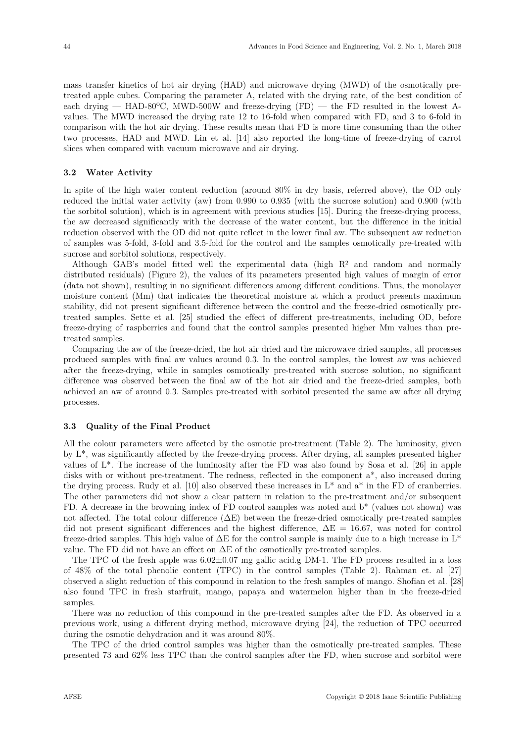mass transfer kinetics of hot air drying (HAD) and microwave drying (MWD) of the osmotically pretreated apple cubes. Comparing the parameter A, related with the drying rate, of the best condition of each drying — HAD-80 $^{\circ}$ C, MWD-500W and freeze-drying (FD) — the FD resulted in the lowest Avalues. The MWD increased the drying rate 12 to 16-fold when compared with FD, and 3 to 6-fold in comparison with the hot air drying. These results mean that FD is more time consuming than the other two processes, HAD and MWD. Lin et al. [14] also reported the long-time of freeze-drying of carrot slices when compared with vacuum microwave and air drying.

# **3.2 Water Activity**

In spite of the high water content reduction (around 80% in dry basis, referred above), the OD only reduced the initial water activity (aw) from 0.990 to 0.935 (with the sucrose solution) and 0.900 (with the sorbitol solution), which is in agreement with previous studies [15]. During the freeze-drying process, the aw decreased significantly with the decrease of the water content, but the difference in the initial reduction observed with the OD did not quite reflect in the lower final aw. The subsequent aw reduction of samples was 5-fold, 3-fold and 3.5-fold for the control and the samples osmotically pre-treated with sucrose and sorbitol solutions, respectively.

Although GAB's model fitted well the experimental data (high  $R<sup>2</sup>$  and random and normally distributed residuals) (Figure 2), the values of its parameters presented high values of margin of error (data not shown), resulting in no significant differences among different conditions. Thus, the monolayer moisture content (Mm) that indicates the theoretical moisture at which a product presents maximum stability, did not present significant difference between the control and the freeze-dried osmotically pretreated samples. Sette et al. [25] studied the effect of different pre-treatments, including OD, before freeze-drying of raspberries and found that the control samples presented higher Mm values than pretreated samples.

Comparing the aw of the freeze-dried, the hot air dried and the microwave dried samples, all processes produced samples with final aw values around 0.3. In the control samples, the lowest aw was achieved after the freeze-drying, while in samples osmotically pre-treated with sucrose solution, no significant difference was observed between the final aw of the hot air dried and the freeze-dried samples, both achieved an aw of around 0.3. Samples pre-treated with sorbitol presented the same aw after all drying processes.

## **3.3 Quality of the Final Product**

All the colour parameters were affected by the osmotic pre-treatment (Table 2). The luminosity, given by L\*, was significantly affected by the freeze-drying process. After drying, all samples presented higher values of L\*. The increase of the luminosity after the FD was also found by Sosa et al. [26] in apple disks with or without pre-treatment. The redness, reflected in the component a\*, also increased during the drying process. Rudy et al. [10] also observed these increases in  $L^*$  and  $a^*$  in the FD of cranberries. The other parameters did not show a clear pattern in relation to the pre-treatment and/or subsequent FD. A decrease in the browning index of FD control samples was noted and  $b^*$  (values not shown) was not affected. The total colour difference  $(\Delta E)$  between the freeze-dried osmotically pre-treated samples did not present significant differences and the highest difference,  $\Delta E = 16.67$ , was noted for control freeze-dried samples. This high value of  $\Delta E$  for the control sample is mainly due to a high increase in  $L^*$ value. The FD did not have an effect on  $\Delta E$  of the osmotically pre-treated samples.

The TPC of the fresh apple was  $6.02\pm0.07$  mg gallic acid.g DM-1. The FD process resulted in a loss of 48% of the total phenolic content (TPC) in the control samples (Table 2). Rahman et. al [27] observed a slight reduction of this compound in relation to the fresh samples of mango. Shofian et al. [28] also found TPC in fresh starfruit, mango, papaya and watermelon higher than in the freeze-dried samples.

There was no reduction of this compound in the pre-treated samples after the FD. As observed in a previous work, using a different drying method, microwave drying [24], the reduction of TPC occurred during the osmotic dehydration and it was around 80%.

The TPC of the dried control samples was higher than the osmotically pre-treated samples. These presented 73 and 62% less TPC than the control samples after the FD, when sucrose and sorbitol were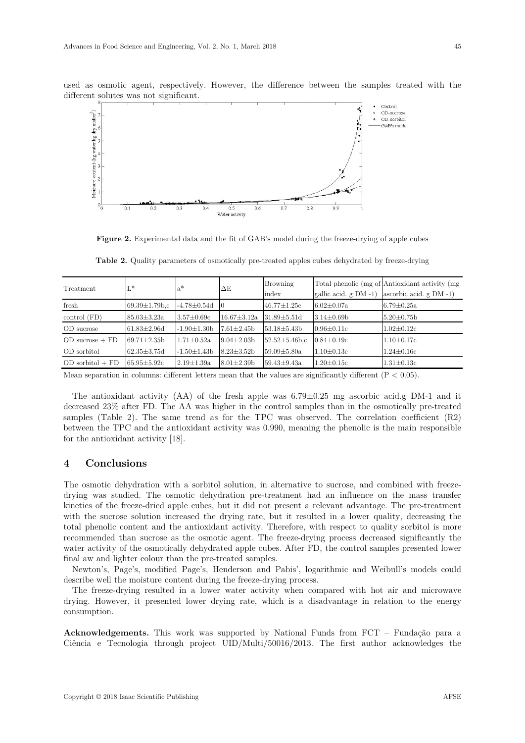

used as osmotic agent, respectively. However, the difference between the samples treated with the different solutes was not significant.

Figure 2. Experimental data and the fit of GAB's model during the freeze-drying of apple cubes

| Treatment            | L*                   | $a^*$              | $\Delta E$        | <b>Browning</b>      |                            | Total phenolic (mg of Antioxidant activity (mg) |  |
|----------------------|----------------------|--------------------|-------------------|----------------------|----------------------------|-------------------------------------------------|--|
|                      |                      |                    |                   | index                | gallic acid. $g$ DM $-1$ ) | ascorbic acid. $g$ DM -1)                       |  |
| fresh                | $69.39 \pm 1.79$ b.c | -4.78±0.54d        |                   | $46.77 \pm 1.25c$    | $6.02 \pm 0.07a$           | $6.79 \pm 0.25a$                                |  |
| control (FD)         | $85.03 \pm 3.23a$    | $3.57 \pm 0.69c$   | $16.67 \pm 3.12a$ | $31.89 \pm 5.51$ d   | $3.14 \pm 0.69$ b          | $5.20 \pm 0.75$ b                               |  |
| OD sucrose           | $61.83 \pm 2.96$ d   | $-1.90 \pm 1.30 b$ | $7.61 \pm 2.45$   | $53.18 \pm 5.43 b$   | $0.96 \pm 0.11c$           | $1.02 \pm 0.12c$                                |  |
| $OD$ sucrose $+$ FD  | $69.71 \pm 2.35$     | $1.71 \pm 0.52a$   | $9.04 \pm 2.03 b$ | $52.52 \pm 5.46$ b.c | $0.84 \pm 0.19c$           | $1.10 \pm 0.17c$                                |  |
| OD sorbitol          | $62.35 \pm 3.75$ d   | $-1.50 \pm 1.43 b$ | $8.23 \pm 3.52 b$ | $59.09 \pm 5.80a$    | $1.10 \pm 0.13c$           | $1.24 \pm 0.16c$                                |  |
| $OD$ sorbitol $+$ FD | $65.95 \pm 5.92c$    | $2.19 \pm 1.39$ a  | $8.01 \pm 2.39$ b | $59.43 \pm 9.43a$    | $1.20 \pm 0.15c$           | $1.31 \pm 0.13c$                                |  |

**Table 2.** Quality parameters of osmotically pre-treated apples cubes dehydrated by freeze-drying

Mean separation in columns: different letters mean that the values are significantly different  $(P < 0.05)$ .

The antioxidant activity  $(AA)$  of the fresh apple was  $6.79\pm0.25$  mg ascorbic acid.g DM-1 and it decreased 23% after FD. The AA was higher in the control samples than in the osmotically pre-treated samples (Table 2). The same trend as for the TPC was observed. The correlation coefficient (R2) between the TPC and the antioxidant activity was 0.990, meaning the phenolic is the main responsible for the antioxidant activity [18].

# **4 Conclusions**

The osmotic dehydration with a sorbitol solution, in alternative to sucrose, and combined with freezedrying was studied. The osmotic dehydration pre-treatment had an influence on the mass transfer kinetics of the freeze-dried apple cubes, but it did not present a relevant advantage. The pre-treatment with the sucrose solution increased the drying rate, but it resulted in a lower quality, decreasing the total phenolic content and the antioxidant activity. Therefore, with respect to quality sorbitol is more recommended than sucrose as the osmotic agent. The freeze-drying process decreased significantly the water activity of the osmotically dehydrated apple cubes. After FD, the control samples presented lower final aw and lighter colour than the pre-treated samples.

Newton's, Page's, modified Page's, Henderson and Pabis', logarithmic and Weibull's models could describe well the moisture content during the freeze-drying process.

The freeze-drying resulted in a lower water activity when compared with hot air and microwave drying. However, it presented lower drying rate, which is a disadvantage in relation to the energy consumption.

**Acknowledgements.** This work was supported by National Funds from FCT – Fundação para a Ciência e Tecnologia through project UID/Multi/50016/2013. The first author acknowledges the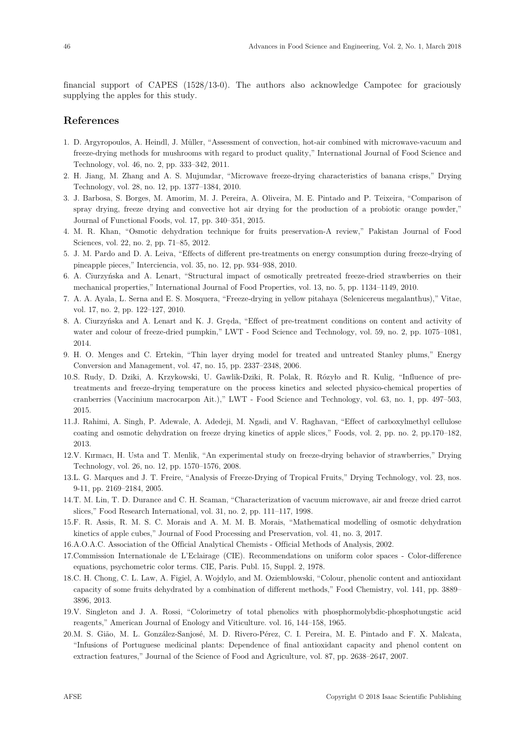financial support of CAPES (1528/13-0). The authors also acknowledge Campotec for graciously supplying the apples for this study.

# **References**

- 1. D. Argyropoulos, A. Heindl, J. Müller, "Assessment of convection, hot-air combined with microwave-vacuum and freeze-drying methods for mushrooms with regard to product quality," International Journal of Food Science and Technology, vol. 46, no. 2, pp. 333–342, 2011.
- 2. H. Jiang, M. Zhang and A. S. Mujumdar, "Microwave freeze-drying characteristics of banana crisps," Drying Technology, vol. 28, no. 12, pp. 1377–1384, 2010.
- 3. J. Barbosa, S. Borges, M. Amorim, M. J. Pereira, A. Oliveira, M. E. Pintado and P. Teixeira, "Comparison of spray drying, freeze drying and convective hot air drying for the production of a probiotic orange powder," Journal of Functional Foods, vol. 17, pp. 340–351, 2015.
- 4. M. R. Khan, "Osmotic dehydration technique for fruits preservation-A review," Pakistan Journal of Food Sciences, vol. 22, no. 2, pp. 71–85, 2012.
- 5. J. M. Pardo and D. A. Leiva, "Effects of different pre-treatments on energy consumption during freeze-drying of pineapple pieces," Interciencia, vol. 35, no. 12, pp. 934–938, 2010.
- 6. A. Ciurzyńska and A. Lenart, "Structural impact of osmotically pretreated freeze-dried strawberries on their mechanical properties," International Journal of Food Properties, vol. 13, no. 5, pp. 1134–1149, 2010.
- 7. A. A. Ayala, L. Serna and E. S. Mosquera, "Freeze-drying in yellow pitahaya (Selenicereus megalanthus)," Vitae, vol. 17, no. 2, pp. 122–127, 2010.
- 8. A. Ciurzyńska and A. Lenart and K. J. Greda, "Effect of pre-treatment conditions on content and activity of water and colour of freeze-dried pumpkin," LWT - Food Science and Technology, vol. 59, no. 2, pp. 1075–1081, 2014.
- 9. H. O. Menges and C. Ertekin, "Thin layer drying model for treated and untreated Stanley plums," Energy Conversion and Management, vol. 47, no. 15, pp. 2337–2348, 2006.
- 10. S. Rudy, D. Dziki, A. Krzykowski, U. Gawlik-Dziki, R. Polak, R. Rózyło and R. Kulig, "Influence of pretreatments and freeze-drying temperature on the process kinetics and selected physico-chemical properties of cranberries (Vaccinium macrocarpon Ait.)," LWT - Food Science and Technology, vol. 63, no. 1, pp. 497–503, 2015.
- 11. J. Rahimi, A. Singh, P. Adewale, A. Adedeji, M. Ngadi, and V. Raghavan, "Effect of carboxylmethyl cellulose coating and osmotic dehydration on freeze drying kinetics of apple slices," Foods, vol. 2, pp. no. 2, pp.170–182, 2013.
- 12. V. Kırmacı, H. Usta and T. Menlik, "An experimental study on freeze-drying behavior of strawberries," Drying Technology, vol. 26, no. 12, pp. 1570–1576, 2008.
- 13. L. G. Marques and J. T. Freire, "Analysis of Freeze-Drying of Tropical Fruits," Drying Technology, vol. 23, nos. 9-11, pp. 2169–2184, 2005.
- 14. T. M. Lin, T. D. Durance and C. H. Scaman, "Characterization of vacuum microwave, air and freeze dried carrot slices," Food Research International, vol. 31, no. 2, pp. 111–117, 1998.
- 15. F. R. Assis, R. M. S. C. Morais and A. M. M. B. Morais, "Mathematical modelling of osmotic dehydration kinetics of apple cubes," Journal of Food Processing and Preservation, vol. 41, no. 3, 2017.
- 16. A.O.A.C. Association of the Official Analytical Chemists Official Methods of Analysis, 2002.
- 17. Commission Internationale de L'Eclairage (CIE). Recommendations on uniform color spaces Color-difference equations, psychometric color terms. CIE, Paris. Publ. 15, Suppl. 2, 1978.
- 18. C. H. Chong, C. L. Law, A. Figiel, A. Wojdylo, and M. Oziemblowski, "Colour, phenolic content and antioxidant capacity of some fruits dehydrated by a combination of different methods," Food Chemistry, vol. 141, pp. 3889– 3896, 2013.
- 19. V. Singleton and J. A. Rossi, "Colorimetry of total phenolics with phosphormolybdic-phosphotungstic acid reagents," American Journal of Enology and Viticulture. vol. 16, 144–158, 1965.
- 20. M. S. Gião, M. L. González-Sanjosé, M. D. Rivero-Pérez, C. I. Pereira, M. E. Pintado and F. X. Malcata, "Infusions of Portuguese medicinal plants: Dependence of final antioxidant capacity and phenol content on extraction features," Journal of the Science of Food and Agriculture, vol. 87, pp. 2638–2647, 2007.